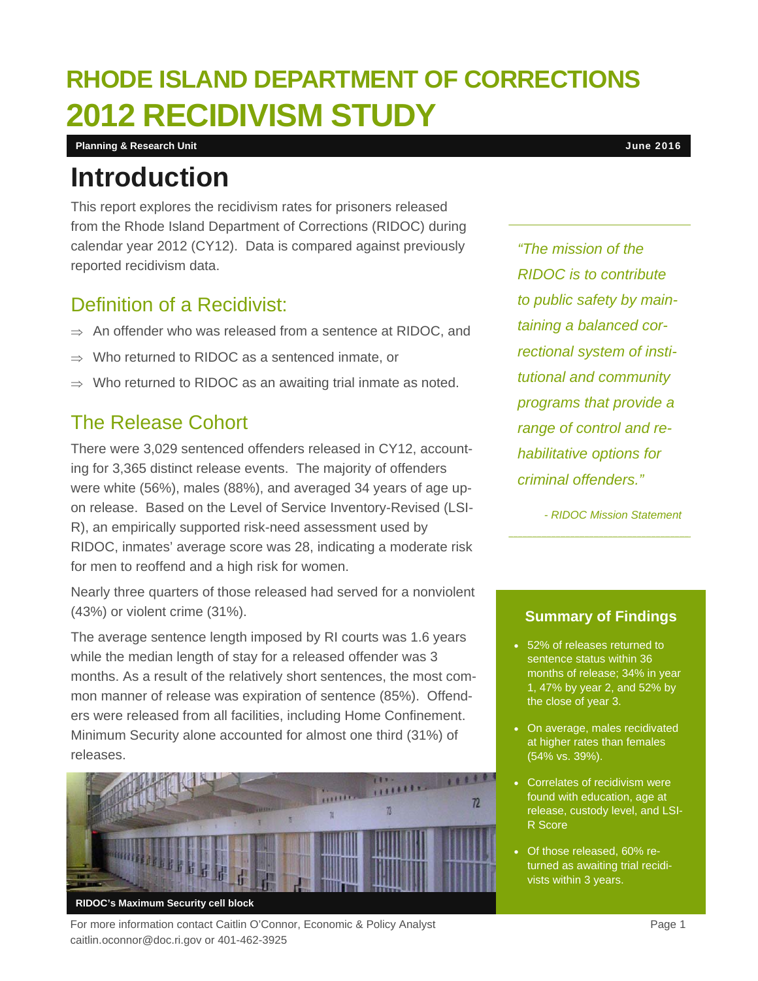# **RHODE ISLAND DEPARTMENT OF CORRECTIONS 2012 RECIDIVISM STUDY**

**Planning & Research Unit** June 2016

### **Introduction**

This report explores the recidivism rates for prisoners released from the Rhode Island Department of Corrections (RIDOC) during calendar year 2012 (CY12). Data is compared against previously reported recidivism data.

#### Definition of a Recidivist:

- $\Rightarrow$  An offender who was released from a sentence at RIDOC, and
- $\Rightarrow$  Who returned to RIDOC as a sentenced inmate, or
- $\Rightarrow$  Who returned to RIDOC as an awaiting trial inmate as noted.

#### The Release Cohort

There were 3,029 sentenced offenders released in CY12, accounting for 3,365 distinct release events. The majority of offenders were white (56%), males (88%), and averaged 34 years of age upon release. Based on the Level of Service Inventory-Revised (LSI-R), an empirically supported risk-need assessment used by RIDOC, inmates' average score was 28, indicating a moderate risk for men to reoffend and a high risk for women.

Nearly three quarters of those released had served for a nonviolent (43%) or violent crime (31%).

The average sentence length imposed by RI courts was 1.6 years while the median length of stay for a released offender was 3 months. As a result of the relatively short sentences, the most common manner of release was expiration of sentence (85%). Offenders were released from all facilities, including Home Confinement. Minimum Security alone accounted for almost one third (31%) of releases.



For more information contact Caitlin O'Connor, Economic & Policy Analyst **Page 1** Page 1 caitlin.oconnor@doc.ri.gov or 401-462-3925

*"The mission of the RIDOC is to contribute to public safety by maintaining a balanced correctional system of institutional and community programs that provide a range of control and rehabilitative options for criminal offenders."* 

*- RIDOC Mission Statement* 

#### **Summary of Findings**

- 52% of releases returned to sentence status within 36 months of release; 34% in year 1, 47% by year 2, and 52% by the close of year 3.
- On average, males recidivated at higher rates than females (54% vs. 39%).
- **Correlates of recidivism were** found with education, age at release, custody level, and LSI-R Score
- Of those released, 60% returned as awaiting trial recidivists within 3 years.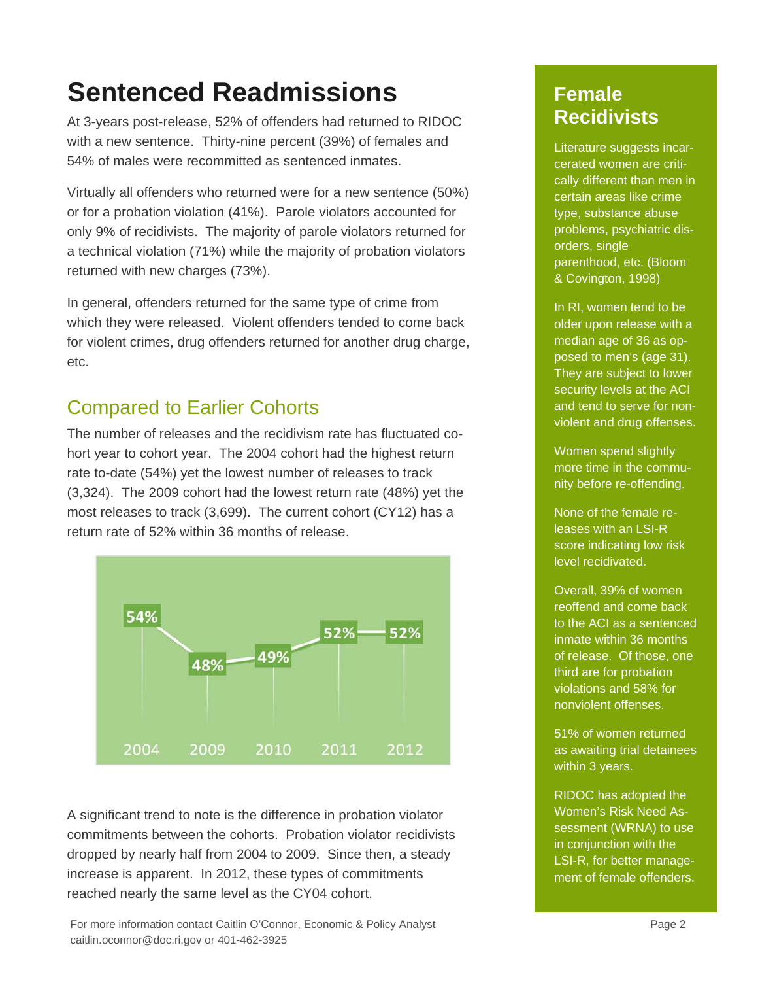## **Sentenced Readmissions**

At 3-years post-release, 52% of offenders had returned to RIDOC with a new sentence. Thirty-nine percent (39%) of females and 54% of males were recommitted as sentenced inmates.

Virtually all offenders who returned were for a new sentence (50%) or for a probation violation (41%). Parole violators accounted for only 9% of recidivists. The majority of parole violators returned for a technical violation (71%) while the majority of probation violators returned with new charges (73%).

In general, offenders returned for the same type of crime from which they were released. Violent offenders tended to come back for violent crimes, drug offenders returned for another drug charge, etc.

#### Compared to Earlier Cohorts

The number of releases and the recidivism rate has fluctuated cohort year to cohort year. The 2004 cohort had the highest return rate to-date (54%) yet the lowest number of releases to track (3,324). The 2009 cohort had the lowest return rate (48%) yet the most releases to track (3,699). The current cohort (CY12) has a return rate of 52% within 36 months of release.



A significant trend to note is the difference in probation violator commitments between the cohorts. Probation violator recidivists dropped by nearly half from 2004 to 2009. Since then, a steady increase is apparent. In 2012, these types of commitments reached nearly the same level as the CY04 cohort.

#### **Female Recidivists**

Literature suggests incarcerated women are critically different than men in certain areas like crime type, substance abuse problems, psychiatric disorders, single parenthood, etc. (Bloom & Covington, 1998)

In RI, women tend to be older upon release with a median age of 36 as opposed to men's (age 31). They are subject to lower security levels at the ACI and tend to serve for nonviolent and drug offenses.

Women spend slightly more time in the community before re-offending.

None of the female releases with an LSI-R score indicating low risk level recidivated.

Overall, 39% of women reoffend and come back to the ACI as a sentenced inmate within 36 months of release. Of those, one third are for probation violations and 58% for nonviolent offenses.

51% of women returned as awaiting trial detainees within 3 years.

RIDOC has adopted the Women's Risk Need Assessment (WRNA) to use in conjunction with the LSI-R, for better management of female offenders.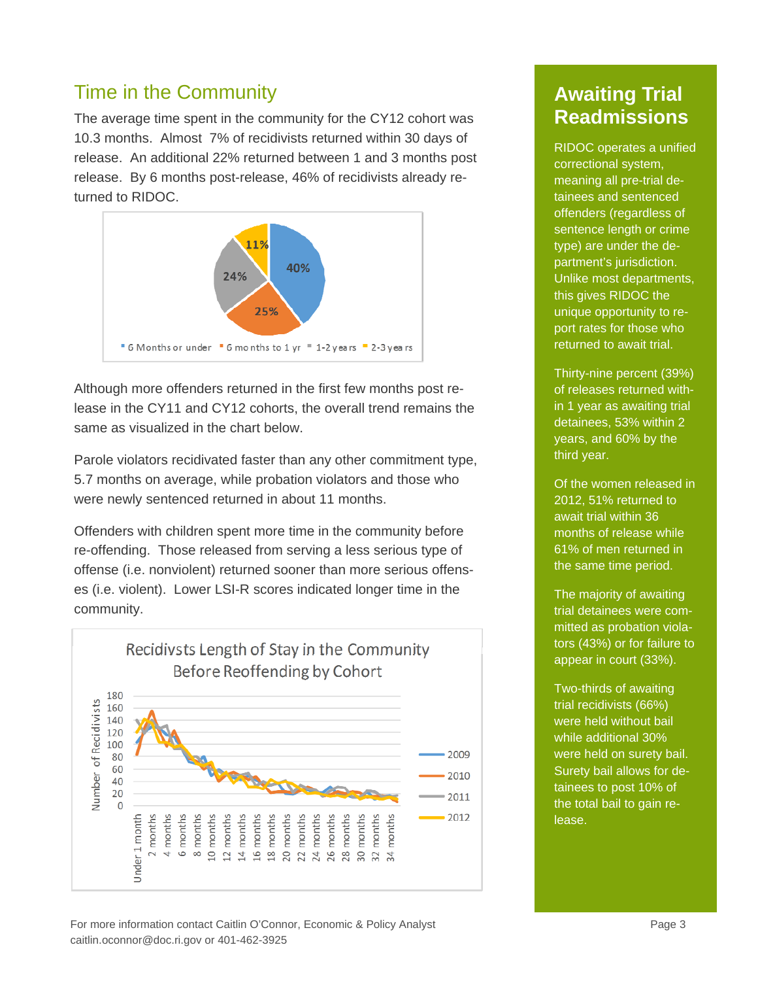#### Time in the Community

The average time spent in the community for the CY12 cohort was 10.3 months. Almost 7% of recidivists returned within 30 days of release. An additional 22% returned between 1 and 3 months post release. By 6 months post-release, 46% of recidivists already returned to RIDOC.



Although more offenders returned in the first few months post release in the CY11 and CY12 cohorts, the overall trend remains the same as visualized in the chart below.

Parole violators recidivated faster than any other commitment type, 5.7 months on average, while probation violators and those who were newly sentenced returned in about 11 months.

Offenders with children spent more time in the community before re-offending. Those released from serving a less serious type of offense (i.e. nonviolent) returned sooner than more serious offenses (i.e. violent). Lower LSI-R scores indicated longer time in the community.



#### **Awaiting Trial Readmissions**

RIDOC operates a unified correctional system, meaning all pre-trial detainees and sentenced offenders (regardless of sentence length or crime type) are under the department's jurisdiction. Unlike most departments, this gives RIDOC the unique opportunity to report rates for those who returned to await trial.

Thirty-nine percent (39%) of releases returned within 1 year as awaiting trial detainees, 53% within 2 years, and 60% by the third year.

Of the women released in 2012, 51% returned to await trial within 36 months of release while 61% of men returned in the same time period.

The majority of awaiting trial detainees were committed as probation violators (43%) or for failure to appear in court (33%).

Two-thirds of awaiting trial recidivists (66%) were held without bail while additional 30% were held on surety bail. Surety bail allows for detainees to post 10% of the total bail to gain release.